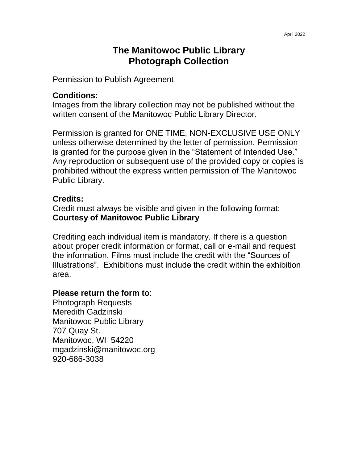## **The Manitowoc Public Library Photograph Collection**

Permission to Publish Agreement

#### **Conditions:**

Images from the library collection may not be published without the written consent of the Manitowoc Public Library Director.

Permission is granted for ONE TIME, NON-EXCLUSIVE USE ONLY unless otherwise determined by the letter of permission. Permission is granted for the purpose given in the "Statement of Intended Use." Any reproduction or subsequent use of the provided copy or copies is prohibited without the express written permission of The Manitowoc Public Library.

### **Credits:**

Credit must always be visible and given in the following format: **Courtesy of Manitowoc Public Library**

Crediting each individual item is mandatory. If there is a question about proper credit information or format, call or e-mail and request the information. Films must include the credit with the "Sources of Illustrations". Exhibitions must include the credit within the exhibition area.

#### **Please return the form to**:

Photograph Requests Meredith Gadzinski Manitowoc Public Library 707 Quay St. Manitowoc, WI 54220 mgadzinski@manitowoc.org 920-686-3038